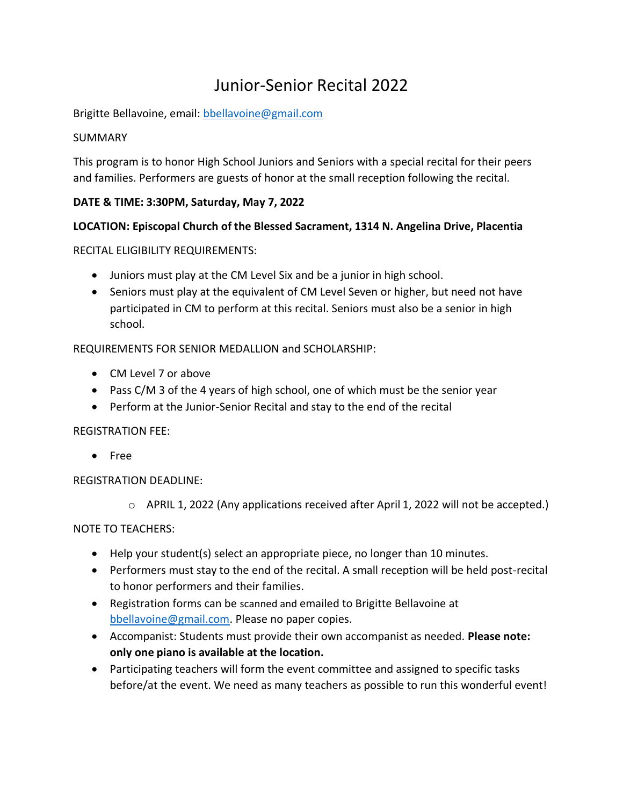# Junior-Senior Recital 2022

Brigitte Bellavoine, email: [bbellavoine@gmail.com](mailto:bbellavoine@gmail.com)

## SUMMARY

This program is to honor High School Juniors and Seniors with a special recital for their peers and families. Performers are guests of honor at the small reception following the recital.

## **DATE & TIME: 3:30PM, Saturday, May 7, 2022**

## **LOCATION: Episcopal Church of the Blessed Sacrament, 1314 N. Angelina Drive, Placentia**

RECITAL ELIGIBILITY REQUIREMENTS:

- Juniors must play at the CM Level Six and be a junior in high school.
- Seniors must play at the equivalent of CM Level Seven or higher, but need not have participated in CM to perform at this recital. Seniors must also be a senior in high school.

REQUIREMENTS FOR SENIOR MEDALLION and SCHOLARSHIP:

- CM Level 7 or above
- Pass C/M 3 of the 4 years of high school, one of which must be the senior year
- Perform at the Junior-Senior Recital and stay to the end of the recital

#### REGISTRATION FEE:

• Free

REGISTRATION DEADLINE:

 $\circ$  APRIL 1, 2022 (Any applications received after April 1, 2022 will not be accepted.)

#### NOTE TO TEACHERS:

- Help your student(s) select an appropriate piece, no longer than 10 minutes.
- Performers must stay to the end of the recital. A small reception will be held post-recital to honor performers and their families.
- Registration forms can be scanned and emailed to Brigitte Bellavoine at [bbellavoine@gmail.com.](mailto:bbellavoine@gmail.com) Please no paper copies.
- Accompanist: Students must provide their own accompanist as needed. **Please note: only one piano is available at the location.**
- Participating teachers will form the event committee and assigned to specific tasks before/at the event. We need as many teachers as possible to run this wonderful event!